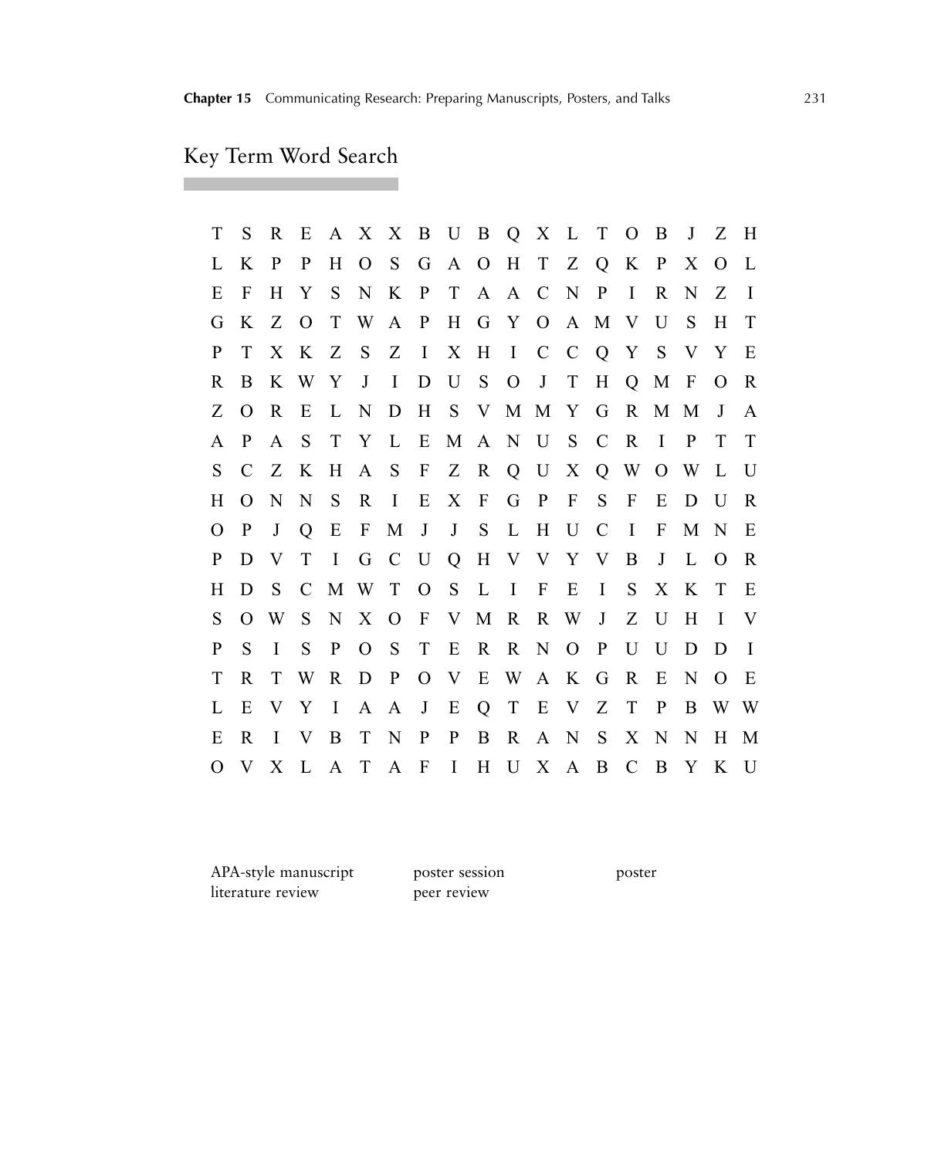| T  | S                                     | $\mathbf{R}$ | Ε              |                 |              | A X X B U B Q X L T O |              |                 |         |           |       |                     |              | B            | J            | Z              | H        |
|----|---------------------------------------|--------------|----------------|-----------------|--------------|-----------------------|--------------|-----------------|---------|-----------|-------|---------------------|--------------|--------------|--------------|----------------|----------|
| L  | K                                     | $\mathbf{P}$ | P              | $H_{\parallel}$ |              | O S G A O H T Z Q K   |              |                 |         |           |       |                     |              | $\mathbf{P}$ | X            | $\Omega$       | L        |
| E  | F                                     | H            | Y              | $S_{\text{}}$   | N            |                       |              |                 |         |           |       | K P T A A C N P     | $\mathbf{I}$ | R            | N            | Z              | $\bf{I}$ |
| G  | K                                     | Z            | $\overline{O}$ |                 | T W          |                       |              |                 |         |           |       | A P H G Y O A M V   |              | $\mathbf U$  | S            | H              | T        |
| P  | T                                     |              | X K            |                 | Z S          |                       |              | Z I X H         |         |           |       | I C C Q Y S V       |              |              |              | Y              | E        |
| R. | B                                     |              | K W            | Y               | J            | $\mathbf{I}$          | $\mathbf{D}$ |                 |         | U S O J T |       | H                   |              | Q M F        |              | $\Omega$       | R        |
| Z  | $\Omega$                              | R            | E              |                 | L N          | D                     |              |                 |         |           |       | H S V M M Y G R M M |              |              |              | J              | A        |
| A  | P                                     | A            | <sub>S</sub>   |                 | T Y          |                       |              | L E M A N U S C |         |           |       |                     | $\mathbb{R}$ | $\mathbf{I}$ | $\mathbf{P}$ | T              | T        |
| S. | $\mathcal{C}$                         | Z            | K              | $H_{\parallel}$ |              | A S F Z R Q U X Q W   |              |                 |         |           |       |                     |              | $\mathbf{O}$ | W            | L              | U        |
| H  | $\overline{O}$                        | N            | N              | S               | R            | $\mathbf{I}$          | E            |                 | $X \tF$ |           | G P F |                     | $S$ F        | Ε            | D            | U              | R        |
| O  | P                                     | J            | Q              | E               | $\mathbf{F}$ | M                     |              | J J S L H U     |         |           |       | $\mathbf C$         | $\mathbf{I}$ | F            | M            | N              | E        |
| P  | D                                     | V            | T              | $\mathbf{I}$    |              | G C U Q H V V Y V     |              |                 |         |           |       |                     | $\mathbf{B}$ | J            | L            | $\Omega$       | R        |
| H  | D                                     | S            | $\mathcal{C}$  |                 | M W          | TOSLIFEI              |              |                 |         |           |       |                     | S            | X            | $\mathbf{K}$ | $\mathbf T$    | Ε        |
| S  |                                       | $O$ W        | S.             |                 |              | N X O F V M R R W J   |              |                 |         |           |       |                     |              | Z U          | H            | $\bf{I}$       | V        |
| P  | S                                     | $\mathbf I$  | S              | $\mathbf{P}$    |              | O S T                 |              | E R R N O P     |         |           |       |                     | $\bf U$      | $\mathbf U$  | D            | D              | $\bf{I}$ |
| T  | R                                     |              | T W            | $\mathbf{R}$    |              | $D$ $P$               |              | O V E W A K G   |         |           |       |                     | $\mathbf R$  | Ε            | N            | $\overline{O}$ | E        |
| L  | Ε                                     | V            | Y              | $\mathbf{I}$    |              | A A J E Q T E V Z T   |              |                 |         |           |       |                     |              | $\mathbf{P}$ | B            | W W            |          |
| E  | R                                     | $\bf{I}$     | V              | B               |              | T N                   | $\mathbf{P}$ | $\mathbf P$     |         |           |       | B R A N S X N       |              |              | N            | H              | M        |
|    | O V X L A T A F I H U X A B C B Y K U |              |                |                 |              |                       |              |                 |         |           |       |                     |              |              |              |                |          |